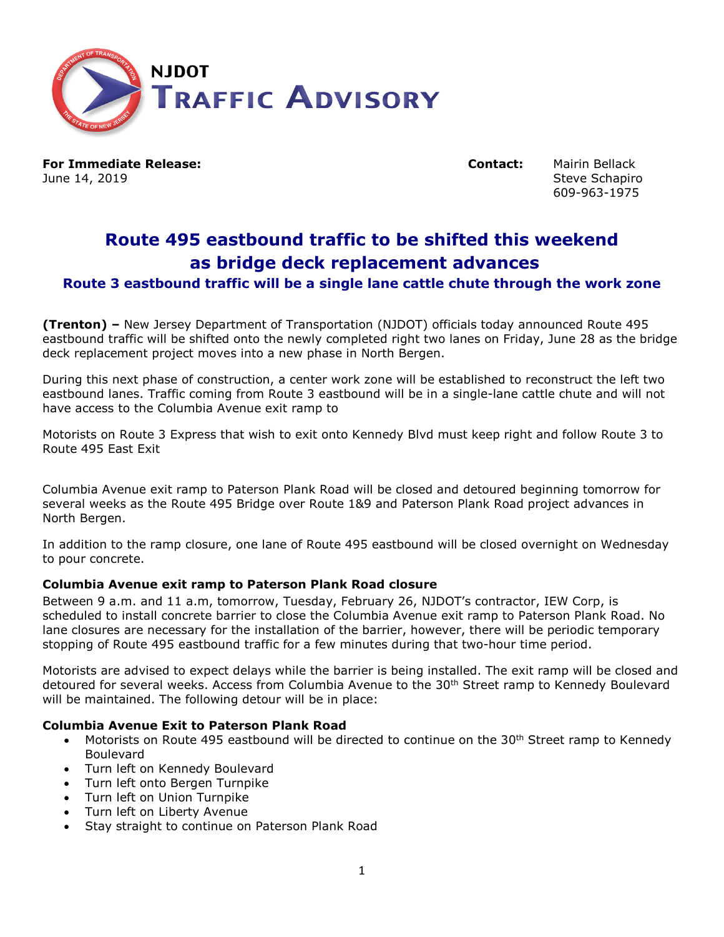

**For Immediate Release: Contact:** Mairin Bellack June 14, 2019 Steve Schapiro Steve Schapiro Steve Schapiro Steve Schapiro

609-963-1975

# **Route 495 eastbound traffic to be shifted this weekend as bridge deck replacement advances**

# **Route 3 eastbound traffic will be a single lane cattle chute through the work zone**

**(Trenton) –** New Jersey Department of Transportation (NJDOT) officials today announced Route 495 eastbound traffic will be shifted onto the newly completed right two lanes on Friday, June 28 as the bridge deck replacement project moves into a new phase in North Bergen.

During this next phase of construction, a center work zone will be established to reconstruct the left two eastbound lanes. Traffic coming from Route 3 eastbound will be in a single-lane cattle chute and will not have access to the Columbia Avenue exit ramp to

Motorists on Route 3 Express that wish to exit onto Kennedy Blvd must keep right and follow Route 3 to Route 495 East Exit

Columbia Avenue exit ramp to Paterson Plank Road will be closed and detoured beginning tomorrow for several weeks as the Route 495 Bridge over Route 1&9 and Paterson Plank Road project advances in North Bergen.

In addition to the ramp closure, one lane of Route 495 eastbound will be closed overnight on Wednesday to pour concrete.

## **Columbia Avenue exit ramp to Paterson Plank Road closure**

Between 9 a.m. and 11 a.m, tomorrow, Tuesday, February 26, NJDOT's contractor, IEW Corp, is scheduled to install concrete barrier to close the Columbia Avenue exit ramp to Paterson Plank Road. No lane closures are necessary for the installation of the barrier, however, there will be periodic temporary stopping of Route 495 eastbound traffic for a few minutes during that two-hour time period.

Motorists are advised to expect delays while the barrier is being installed. The exit ramp will be closed and detoured for several weeks. Access from Columbia Avenue to the 30<sup>th</sup> Street ramp to Kennedy Boulevard will be maintained. The following detour will be in place:

## **Columbia Avenue Exit to Paterson Plank Road**

- Motorists on Route 495 eastbound will be directed to continue on the 30<sup>th</sup> Street ramp to Kennedy Boulevard
- Turn left on Kennedy Boulevard
- Turn left onto Bergen Turnpike
- Turn left on Union Turnpike
- Turn left on Liberty Avenue
- Stay straight to continue on Paterson Plank Road